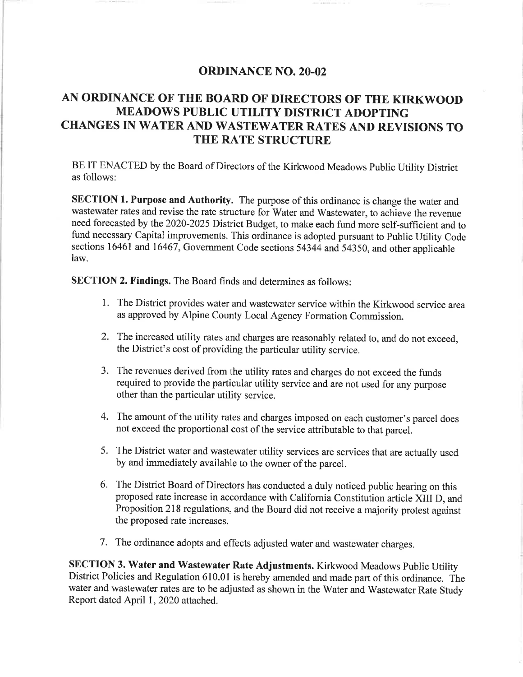## **ORDINANCE NO. 20-02**

# AN ORDINANCE OF THE BOARD OF DIRECTORS OF THE KIRKWOOD **MEADOWS PUBLIC UTILITY DISTRICT ADOPTING** CHANGES IN WATER AND WASTEWATER RATES AND REVISIONS TO THE RATE STRUCTURE

BE IT ENACTED by the Board of Directors of the Kirkwood Meadows Public Utility District as follows:

SECTION 1. Purpose and Authority. The purpose of this ordinance is change the water and wastewater rates and revise the rate structure for Water and Wastewater, to achieve the revenue need forecasted by the 2020-2025 District Budget, to make each fund more self-sufficient and to fund necessary Capital improvements. This ordinance is adopted pursuant to Public Utility Code sections 16461 and 16467, Government Code sections 54344 and 54350, and other applicable  $law$ 

**SECTION 2. Findings.** The Board finds and determines as follows:

- 1. The District provides water and wastewater service within the Kirkwood service area as approved by Alpine County Local Agency Formation Commission.
- 2. The increased utility rates and charges are reasonably related to, and do not exceed, the District's cost of providing the particular utility service.
- 3. The revenues derived from the utility rates and charges do not exceed the funds required to provide the particular utility service and are not used for any purpose other than the particular utility service.
- 4. The amount of the utility rates and charges imposed on each customer's parcel does not exceed the proportional cost of the service attributable to that parcel.
- 5. The District water and wastewater utility services are services that are actually used by and immediately available to the owner of the parcel.
- 6. The District Board of Directors has conducted a duly noticed public hearing on this proposed rate increase in accordance with California Constitution article XIII D, and Proposition 218 regulations, and the Board did not receive a majority protest against the proposed rate increases.
- 7. The ordinance adopts and effects adjusted water and wastewater charges.

SECTION 3. Water and Wastewater Rate Adjustments. Kirkwood Meadows Public Utility District Policies and Regulation 610.01 is hereby amended and made part of this ordinance. The water and wastewater rates are to be adjusted as shown in the Water and Wastewater Rate Study Report dated April 1, 2020 attached.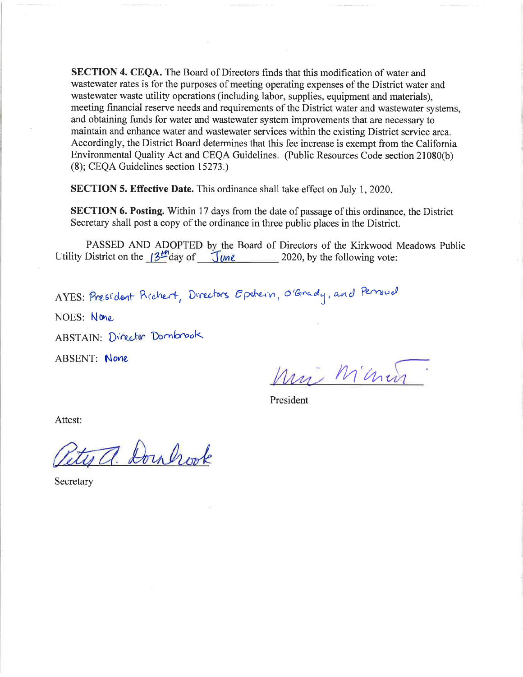SECTION 4. CEQA. The Board of Directors finds that this modification of water and wastewater rates is for the purposes of meeting operating expenses of the District water and wastewater waste utility operations (including labor, supplies, equipment and materials). meeting financial reserve needs and requirements of the District water and wastewater systems, and obtaining funds for water and wastewater system improvements that are necessary to maintain and enhance water and wastewater services within the existing District service area. Accordingly, the District Board determines that this fee increase is exempt from the California Environmental Quality Act and CEQA Guidelines. (Public Resources Code section 21080(b) (8); CEQA Guidelines section 15273.)

**SECTION 5. Effective Date.** This ordinance shall take effect on July 1, 2020.

**SECTION 6. Posting.** Within 17 days from the date of passage of this ordinance, the District Secretary shall post a copy of the ordinance in three public places in the District.

PASSED AND ADOPTED by the Board of Directors of the Kirkwood Meadows Public Utility District on the  $3^{\frac{14}{2}}$  day of  $\frac{1}{\sqrt{1}}$   $\frac{1}{\sqrt{1}}$  2020, by the following vote:

AYES: President Richert, Directors Epstein, O'Grady, and Perroud

NOES: None

ABSTAIN: Director Dombrook

**ABSENT: None** 

Mi Minin

President

Attest:

ites a. Doulrook

Secretary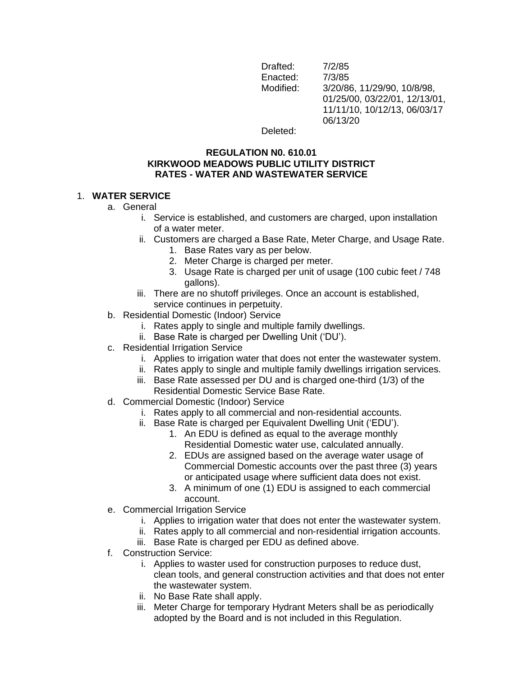Drafted: 7/2/85 Enacted: 7/3/85 Modified: 3/20/86, 11/29/90, 10/8/98, 01/25/00, 03/22/01, 12/13/01, 11/11/10, 10/12/13, 06/03/17 06/13/20

Deleted:

#### **REGULATION N0. 610.01 KIRKWOOD MEADOWS PUBLIC UTILITY DISTRICT RATES - WATER AND WASTEWATER SERVICE**

### 1. **WATER SERVICE**

- a. General
	- i. Service is established, and customers are charged, upon installation of a water meter.
	- ii. Customers are charged a Base Rate, Meter Charge, and Usage Rate.
		- 1. Base Rates vary as per below.
			- 2. Meter Charge is charged per meter.
		- 3. Usage Rate is charged per unit of usage (100 cubic feet / 748 gallons).
	- iii. There are no shutoff privileges. Once an account is established, service continues in perpetuity.
- b. Residential Domestic (Indoor) Service
	- i. Rates apply to single and multiple family dwellings.
	- ii. Base Rate is charged per Dwelling Unit ('DU').
- c. Residential Irrigation Service
	- i. Applies to irrigation water that does not enter the wastewater system.
	- ii. Rates apply to single and multiple family dwellings irrigation services.
	- iii. Base Rate assessed per DU and is charged one-third (1/3) of the Residential Domestic Service Base Rate.
- d. Commercial Domestic (Indoor) Service
	- i. Rates apply to all commercial and non-residential accounts.
	- ii. Base Rate is charged per Equivalent Dwelling Unit ('EDU').
		- 1. An EDU is defined as equal to the average monthly Residential Domestic water use, calculated annually.
		- 2. EDUs are assigned based on the average water usage of Commercial Domestic accounts over the past three (3) years or anticipated usage where sufficient data does not exist.
		- 3. A minimum of one (1) EDU is assigned to each commercial account.
- e. Commercial Irrigation Service
	- i. Applies to irrigation water that does not enter the wastewater system.
	- ii. Rates apply to all commercial and non-residential irrigation accounts.
	- iii. Base Rate is charged per EDU as defined above.
- f. Construction Service:
	- i. Applies to waster used for construction purposes to reduce dust, clean tools, and general construction activities and that does not enter the wastewater system.
	- ii. No Base Rate shall apply.
	- iii. Meter Charge for temporary Hydrant Meters shall be as periodically adopted by the Board and is not included in this Regulation.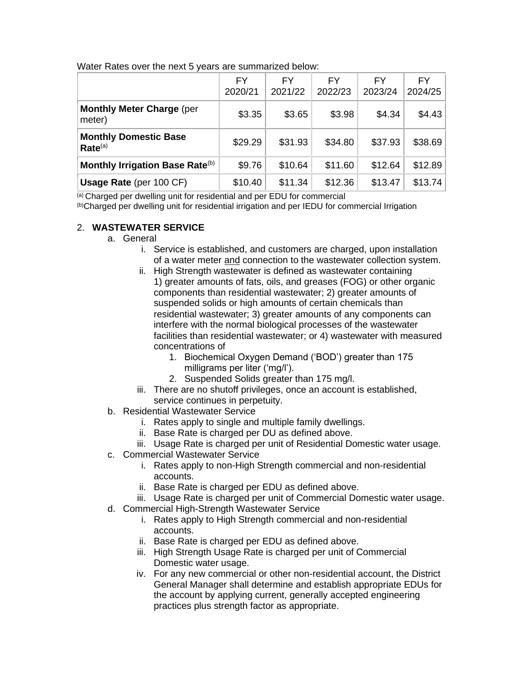|                                                     | FY.<br>2020/21 | <b>FY</b><br>2021/22 | FY<br>2022/23 | FY.<br>2023/24 | <b>FY</b><br>2024/25 |
|-----------------------------------------------------|----------------|----------------------|---------------|----------------|----------------------|
| <b>Monthly Meter Charge (per</b><br>meter)          | \$3.35         | \$3.65               | \$3.98        | \$4.34         | \$4.43               |
| <b>Monthly Domestic Base</b><br>Rate <sup>(a)</sup> | \$29.29        | \$31.93              | \$34.80       | \$37.93        | \$38.69              |
| Monthly Irrigation Base Rate <sup>(b)</sup>         | \$9.76         | \$10.64              | \$11.60       | \$12.64        | \$12.89              |
| <b>Usage Rate (per 100 CF)</b>                      | \$10.40        | \$11.34              | \$12.36       | \$13.47        | \$13.74              |

Water Rates over the next 5 years are summarized below:

(a) Charged per dwelling unit for residential and per EDU for commercial

(b)Charged per dwelling unit for residential irrigation and per IEDU for commercial Irrigation

## 2. **WASTEWATER SERVICE**

- a. General
	- i. Service is established, and customers are charged, upon installation of a water meter and connection to the wastewater collection system.
	- ii. High Strength wastewater is defined as wastewater containing 1) greater amounts of fats, oils, and greases (FOG) or other organic components than residential wastewater; 2) greater amounts of suspended solids or high amounts of certain chemicals than residential wastewater; 3) greater amounts of any components can interfere with the normal biological processes of the wastewater facilities than residential wastewater; or 4) wastewater with measured concentrations of
		- 1. Biochemical Oxygen Demand ('BOD') greater than 175 milligrams per liter ('mg/l').
		- 2. Suspended Solids greater than 175 mg/l.
	- iii. There are no shutoff privileges, once an account is established, service continues in perpetuity.
- b. Residential Wastewater Service
	- i. Rates apply to single and multiple family dwellings.
	- ii. Base Rate is charged per DU as defined above.
	- iii. Usage Rate is charged per unit of Residential Domestic water usage.
- c. Commercial Wastewater Service
	- i. Rates apply to non-High Strength commercial and non-residential accounts.
	- ii. Base Rate is charged per EDU as defined above.
	- iii. Usage Rate is charged per unit of Commercial Domestic water usage.
- d. Commercial High-Strength Wastewater Service
	- i. Rates apply to High Strength commercial and non-residential accounts.
	- ii. Base Rate is charged per EDU as defined above.
	- iii. High Strength Usage Rate is charged per unit of Commercial Domestic water usage.
	- iv. For any new commercial or other non-residential account, the District General Manager shall determine and establish appropriate EDUs for the account by applying current, generally accepted engineering practices plus strength factor as appropriate.